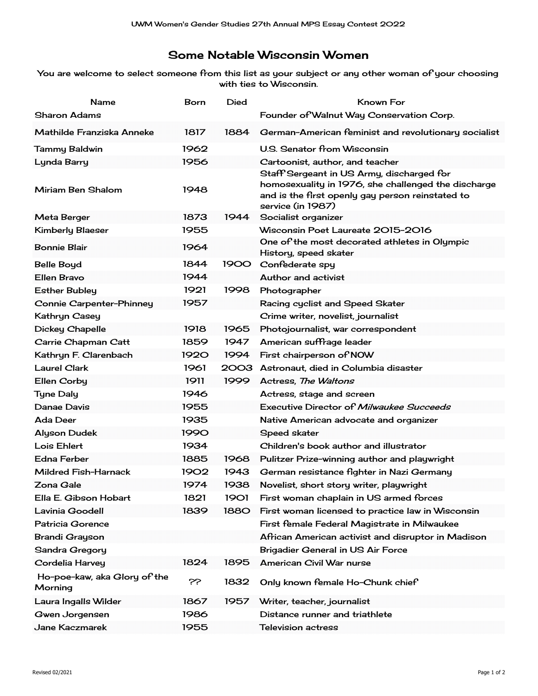## Some Notable Wisconsin Women

You are welcome to select someone from this list as your subject or any other woman of your choosing with ties to Wisconsin.

| Name                                    | Born        | Died        | Known For                                                                                                                                            |
|-----------------------------------------|-------------|-------------|------------------------------------------------------------------------------------------------------------------------------------------------------|
| Sharon Adams                            |             |             | Founder of Walnut Way Conservation Corp.                                                                                                             |
| Mathilde Franziska Anneke               | 1817        | 1884        | German-American feminist and revolutionary socialist                                                                                                 |
| Tammy Baldwin                           | 1962        |             | U.S. Senator from Wisconsin                                                                                                                          |
| Lynda Barry                             | 1956        |             | Cartoonist, author, and teacher                                                                                                                      |
| Miriam Ben Shalom                       | 1948        |             | Staff Sergeant in US Army, discharged for<br>homosexuality in 1976, she challenged the discharge<br>and is the first openly gay person reinstated to |
| <b>Meta Berger</b>                      | 1873        | 1944        | service (in 1987)<br>Socialist organizer                                                                                                             |
| <b>Kimberly Blaeser</b>                 | 1955        |             | Wisconsin Poet Laureate 2015-2016                                                                                                                    |
|                                         |             |             | One of the most decorated athletes in Olympic                                                                                                        |
| <b>Bonnie Blair</b>                     | 1964        |             | History, speed skater                                                                                                                                |
| <b>Belle Boyd</b>                       | 1844        | 1900 I      | Confederate spy                                                                                                                                      |
| <b>Ellen Bravo</b>                      | 1944        |             | Author and activist                                                                                                                                  |
| <b>Esther Bubley</b>                    | 1921        | 1998        | Photographer                                                                                                                                         |
| Connie Carpenter-Phinney                | 1957        |             | Racing cyclist and Speed Skater                                                                                                                      |
| Kathryn Casey                           |             |             | Crime writer, novelist, journalist                                                                                                                   |
| <b>Dickey Chapelle</b>                  | 1918        | 1965        | Photojournalist, war correspondent                                                                                                                   |
| Carrie Chapman Catt                     | 1859        | 1947        | American suffrage leader                                                                                                                             |
| Kathryn F. Clarenbach                   | <b>1920</b> | 1994        | First chairperson of NOW                                                                                                                             |
| <b>Laurel Clark</b>                     | 1961        |             | 2003 Astronaut, died in Columbia disaster                                                                                                            |
| <b>Ellen Corby</b>                      | 1911        | 1999        | Actress, The Waltons                                                                                                                                 |
| <b>Tyne Daly</b>                        | 1946        |             | Actress, stage and screen                                                                                                                            |
| Danae Davis                             | 1955        |             | Executive Director of <i>Milwaukee Succeeds</i>                                                                                                      |
| Ada Deer                                | 1935        |             | Native American advocate and organizer                                                                                                               |
| <b>Alyson Dudek</b>                     | 1990        |             | <b>Speed skater</b>                                                                                                                                  |
| Lois Ehlert                             | 1934        |             | Children's book author and illustrator                                                                                                               |
| <b>Edna Ferber</b>                      | 1885        | 1968        | Pulitzer Prize-winning author and playwright                                                                                                         |
| Mildred Fish-Harnack                    | 1902        | 1943        | German resistance fighter in Nazi Germany                                                                                                            |
| Zona Gale                               | 1974        | 1938        | Novelist, short story writer, playwright                                                                                                             |
| Ella E. Gibson Hobart                   | 1821        | <b>1901</b> | First woman chaplain in US armed forces                                                                                                              |
| Lavinia Goodell                         | 1839        | <b>1880</b> | First woman licensed to practice law in Wisconsin                                                                                                    |
| Patricia Gorence                        |             |             | First female Federal Magistrate in Milwaukee                                                                                                         |
| <b>Brandi Grayson</b>                   |             |             | African American activist and disruptor in Madison                                                                                                   |
| <b>Sandra Gregory</b>                   |             |             | Brigadier General in US Air Force                                                                                                                    |
| Cordelia Harvey                         | 1824        | 1895        | American Civil War nurse                                                                                                                             |
| Ho-poe-kaw, aka Glory of the<br>Morning | خخ          | 1832        | Only known female Ho-Chunk chief                                                                                                                     |
| Laura Ingalls Wilder                    | 1867        | 1957        | Writer, teacher, journalist                                                                                                                          |
| Gwen Jorgensen                          | 1986        |             | Distance runner and triathlete                                                                                                                       |
| Jane Kaczmarek                          | 1955        |             | <b>Television actress</b>                                                                                                                            |